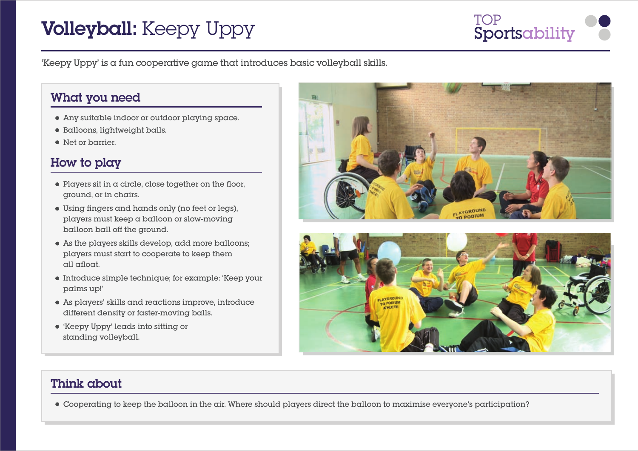# **Volleyball:** Keepy Uppy Sportsability

'Keepy Uppy' is a fun cooperative game that introduces basic volleyball skills.

## What you need

- Any suitable indoor or outdoor playing space.
- Balloons, lightweight balls.
- Net or barrier.

## How to play

- $\bullet$  Players sit in a circle, close together on the floor. ground, or in chairs.
- $\bullet$  Using fingers and hands only (no feet or legs), players must keep a balloon or slow-moving balloon ball off the ground.
- As the players skills develop, add more balloons; players must start to cooperate to keep them all afloat.
- Introduce simple technique; for example: 'Keep your palms up!'
- As players' skills and reactions improve, introduce different density or faster-moving balls.
- 'Keepy Uppy' leads into sitting or standing volleyball.





## Think about

Cooperating to keep the balloon in the air. Where should players direct the balloon to maximise everyone's participation?